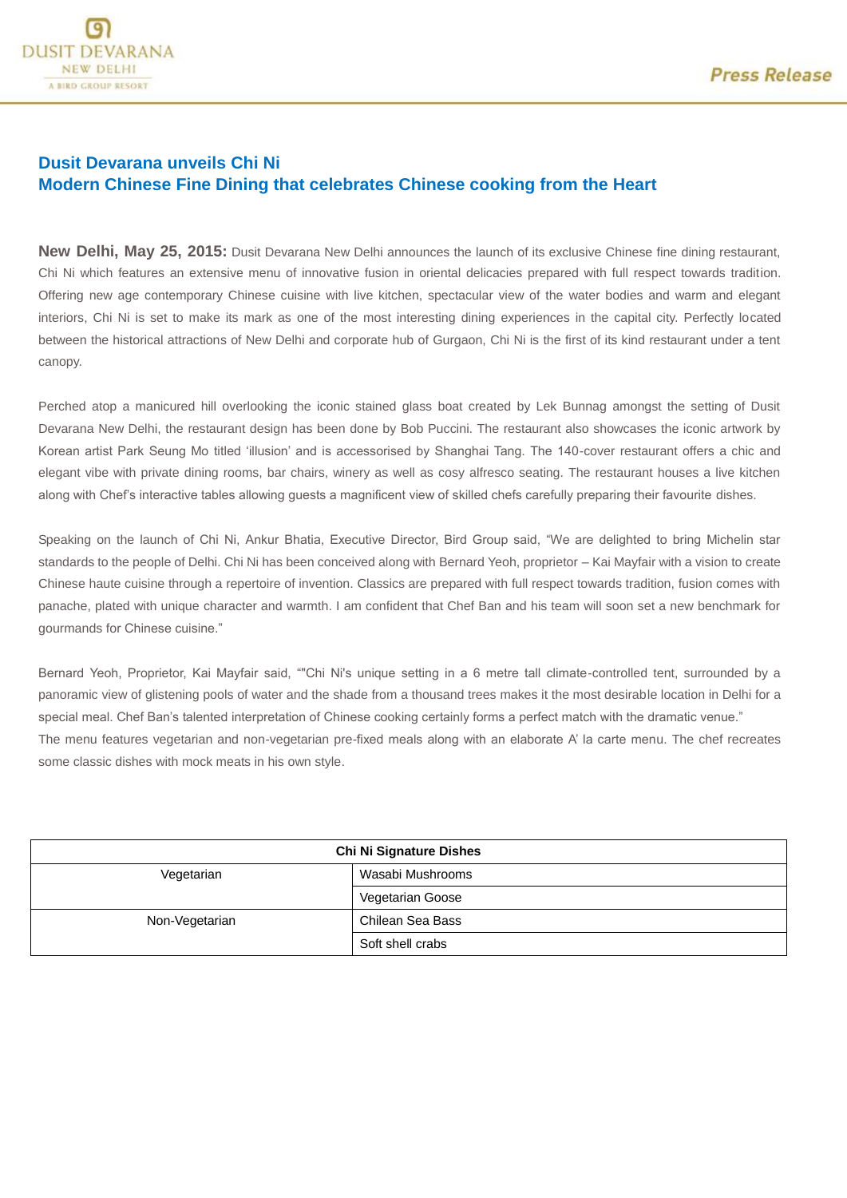

# **Dusit Devarana unveils Chi Ni Modern Chinese Fine Dining that celebrates Chinese cooking from the Heart**

**New Delhi, May 25, 2015:** Dusit Devarana New Delhi announces the launch of its exclusive Chinese fine dining restaurant, Chi Ni which features an extensive menu of innovative fusion in oriental delicacies prepared with full respect towards tradition. Offering new age contemporary Chinese cuisine with live kitchen, spectacular view of the water bodies and warm and elegant interiors, Chi Ni is set to make its mark as one of the most interesting dining experiences in the capital city. Perfectly located between the historical attractions of New Delhi and corporate hub of Gurgaon, Chi Ni is the first of its kind restaurant under a tent canopy.

Perched atop a manicured hill overlooking the iconic stained glass boat created by Lek Bunnag amongst the setting of Dusit Devarana New Delhi, the restaurant design has been done by Bob Puccini. The restaurant also showcases the iconic artwork by Korean artist Park Seung Mo titled 'illusion' and is accessorised by Shanghai Tang. The 140-cover restaurant offers a chic and elegant vibe with private dining rooms, bar chairs, winery as well as cosy alfresco seating. The restaurant houses a live kitchen along with Chef's interactive tables allowing guests a magnificent view of skilled chefs carefully preparing their favourite dishes.

Speaking on the launch of Chi Ni, Ankur Bhatia, Executive Director, Bird Group said, "We are delighted to bring Michelin star standards to the people of Delhi. Chi Ni has been conceived along with Bernard Yeoh, proprietor – Kai Mayfair with a vision to create Chinese haute cuisine through a repertoire of invention. Classics are prepared with full respect towards tradition, fusion comes with panache, plated with unique character and warmth. I am confident that Chef Ban and his team will soon set a new benchmark for gourmands for Chinese cuisine."

Bernard Yeoh, Proprietor, Kai Mayfair said, ""Chi Ni's unique setting in a 6 metre tall climate-controlled tent, surrounded by a panoramic view of glistening pools of water and the shade from a thousand trees makes it the most desirable location in Delhi for a special meal. Chef Ban's talented interpretation of Chinese cooking certainly forms a perfect match with the dramatic venue." The menu features vegetarian and non-vegetarian pre-fixed meals along with an elaborate A' la carte menu. The chef recreates some classic dishes with mock meats in his own style.

| <b>Chi Ni Signature Dishes</b> |                  |
|--------------------------------|------------------|
| Vegetarian                     | Wasabi Mushrooms |
|                                | Vegetarian Goose |
| Non-Vegetarian                 | Chilean Sea Bass |
|                                | Soft shell crabs |